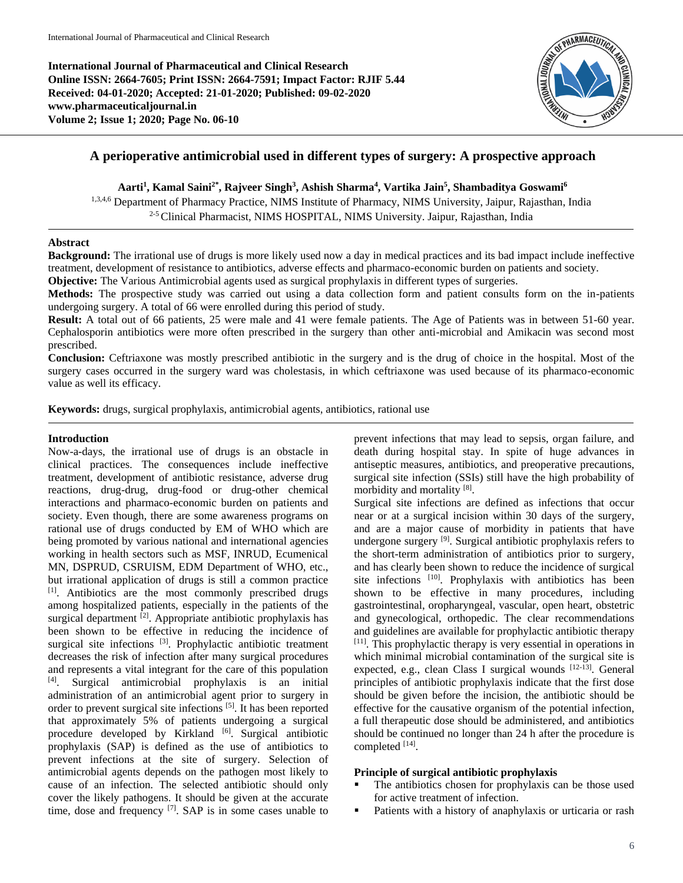**International Journal of Pharmaceutical and Clinical Research Online ISSN: 2664-7605; Print ISSN: 2664-7591; Impact Factor: RJIF 5.44 Received: 04-01-2020; Accepted: 21-01-2020; Published: 09-02-2020 www.pharmaceuticaljournal.in Volume 2; Issue 1; 2020; Page No. 06-10**



# **A perioperative antimicrobial used in different types of surgery: A prospective approach**

## **Aarti<sup>1</sup> , Kamal Saini2\* , Rajveer Singh<sup>3</sup> , Ashish Sharma<sup>4</sup> , Vartika Jain<sup>5</sup> , Shambaditya Goswami<sup>6</sup>**

1,3,4,6 Department of Pharmacy Practice, NIMS Institute of Pharmacy, NIMS University, Jaipur, Rajasthan, India <sup>2-5</sup> Clinical Pharmacist, NIMS HOSPITAL, NIMS University. Jaipur, Rajasthan, India

## **Abstract**

**Background:** The irrational use of drugs is more likely used now a day in medical practices and its bad impact include ineffective treatment, development of resistance to antibiotics, adverse effects and pharmaco-economic burden on patients and society.

**Objective:** The Various Antimicrobial agents used as surgical prophylaxis in different types of surgeries.

**Methods:** The prospective study was carried out using a data collection form and patient consults form on the in-patients undergoing surgery. A total of 66 were enrolled during this period of study.

**Result:** A total out of 66 patients, 25 were male and 41 were female patients. The Age of Patients was in between 51-60 year. Cephalosporin antibiotics were more often prescribed in the surgery than other anti-microbial and Amikacin was second most prescribed.

**Conclusion:** Ceftriaxone was mostly prescribed antibiotic in the surgery and is the drug of choice in the hospital. Most of the surgery cases occurred in the surgery ward was cholestasis, in which ceftriaxone was used because of its pharmaco-economic value as well its efficacy.

**Keywords:** drugs, surgical prophylaxis, antimicrobial agents, antibiotics, rational use

#### **Introduction**

Now-a-days, the irrational use of drugs is an obstacle in clinical practices. The consequences include ineffective treatment, development of antibiotic resistance, adverse drug reactions, drug-drug, drug-food or drug-other chemical interactions and pharmaco-economic burden on patients and society. Even though, there are some awareness programs on rational use of drugs conducted by EM of WHO which are being promoted by various national and international agencies working in health sectors such as MSF, INRUD, Ecumenical MN, DSPRUD, CSRUISM, EDM Department of WHO, etc., but irrational application of drugs is still a common practice [1] . Antibiotics are the most commonly prescribed drugs among hospitalized patients, especially in the patients of the surgical department  $[2]$ . Appropriate antibiotic prophylaxis has been shown to be effective in reducing the incidence of surgical site infections [3]. Prophylactic antibiotic treatment decreases the risk of infection after many surgical procedures and represents a vital integrant for the care of this population [4] . Surgical antimicrobial prophylaxis is an initial administration of an antimicrobial agent prior to surgery in order to prevent surgical site infections<sup>[5]</sup>. It has been reported that approximately 5% of patients undergoing a surgical procedure developed by Kirkland <sup>[6]</sup>. Surgical antibiotic prophylaxis (SAP) is defined as the use of antibiotics to prevent infections at the site of surgery. Selection of antimicrobial agents depends on the pathogen most likely to cause of an infection. The selected antibiotic should only cover the likely pathogens. It should be given at the accurate time, dose and frequency  $[7]$ . SAP is in some cases unable to

prevent infections that may lead to sepsis, organ failure, and death during hospital stay. In spite of huge advances in antiseptic measures, antibiotics, and preoperative precautions, surgical site infection (SSIs) still have the high probability of morbidity and mortality [8].

Surgical site infections are defined as infections that occur near or at a surgical incision within 30 days of the surgery, and are a major cause of morbidity in patients that have undergone surgery <sup>[9]</sup>. Surgical antibiotic prophylaxis refers to the short-term administration of antibiotics prior to surgery, and has clearly been shown to reduce the incidence of surgical site infections <sup>[10]</sup>. Prophylaxis with antibiotics has been shown to be effective in many procedures, including gastrointestinal, oropharyngeal, vascular, open heart, obstetric and gynecological, orthopedic. The clear recommendations and guidelines are available for prophylactic antibiotic therapy [11]. This prophylactic therapy is very essential in operations in which minimal microbial contamination of the surgical site is expected, e.g., clean Class I surgical wounds [12-13]. General principles of antibiotic prophylaxis indicate that the first dose should be given before the incision, the antibiotic should be effective for the causative organism of the potential infection, a full therapeutic dose should be administered, and antibiotics should be continued no longer than 24 h after the procedure is completed [14].

## **Principle of surgical antibiotic prophylaxis**

- The antibiotics chosen for prophylaxis can be those used for active treatment of infection.
- **Patients with a history of anaphylaxis or urticaria or rash**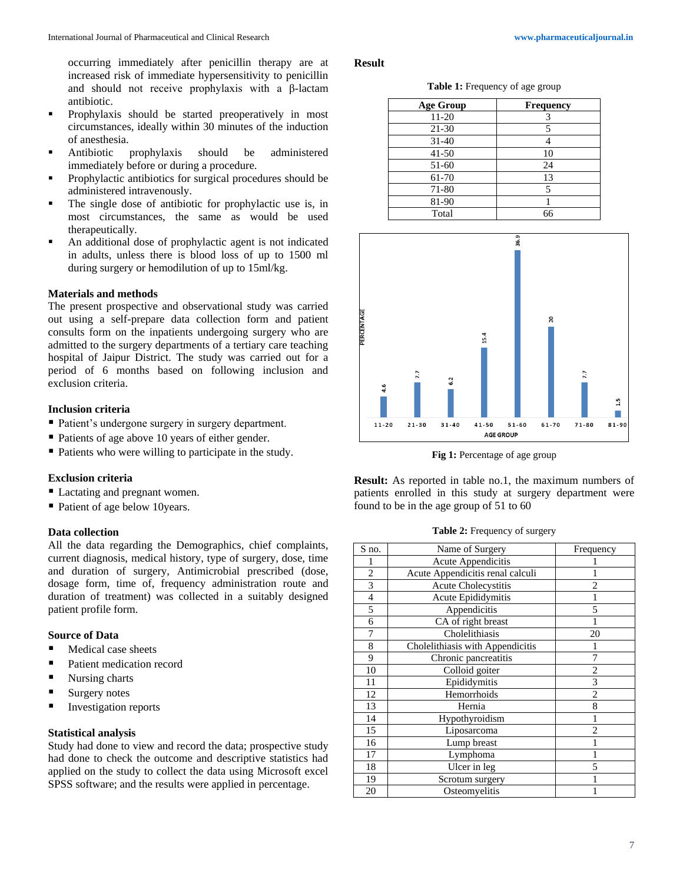occurring immediately after penicillin therapy are at increased risk of immediate hypersensitivity to penicillin and should not receive prophylaxis with a β-lactam antibiotic.

- **Prophylaxis should be started preoperatively in most** circumstances, ideally within 30 minutes of the induction of anesthesia.
- Antibiotic prophylaxis should be administered immediately before or during a procedure.
- **Prophylactic antibiotics for surgical procedures should be** administered intravenously.
- The single dose of antibiotic for prophylactic use is, in most circumstances, the same as would be used therapeutically.
- An additional dose of prophylactic agent is not indicated in adults, unless there is blood loss of up to 1500 ml during surgery or hemodilution of up to 15ml/kg.

## **Materials and methods**

The present prospective and observational study was carried out using a self-prepare data collection form and patient consults form on the inpatients undergoing surgery who are admitted to the surgery departments of a tertiary care teaching hospital of Jaipur District. The study was carried out for a period of 6 months based on following inclusion and exclusion criteria.

### **Inclusion criteria**

- Patient's undergone surgery in surgery department.
- Patients of age above 10 years of either gender.
- Patients who were willing to participate in the study.

## **Exclusion criteria**

- Lactating and pregnant women.
- Patient of age below 10years.

## **Data collection**

All the data regarding the Demographics, chief complaints, current diagnosis, medical history, type of surgery, dose, time and duration of surgery, Antimicrobial prescribed (dose, dosage form, time of, frequency administration route and duration of treatment) was collected in a suitably designed patient profile form.

#### **Source of Data**

- Medical case sheets
- Patient medication record
- Nursing charts
- Surgery notes
- Investigation reports

## **Statistical analysis**

Study had done to view and record the data; prospective study had done to check the outcome and descriptive statistics had applied on the study to collect the data using Microsoft excel SPSS software; and the results were applied in percentage.

#### **Result**

**Table 1:** Frequency of age group

| <b>Age Group</b> | <b>Frequency</b> |
|------------------|------------------|
| 11-20            |                  |
| 21-30            |                  |
| $31 - 40$        |                  |
| $41 - 50$        | 10               |
| 51-60            | 24               |
| 61-70            | 13               |
| 71-80            | 5                |
| 81-90            |                  |
| Total            | 66               |



**Fig 1:** Percentage of age group

**Result:** As reported in table no.1, the maximum numbers of patients enrolled in this study at surgery department were found to be in the age group of 51 to 60

#### **Table 2:** Frequency of surgery

| S no.                    | Name of Surgery                  | Frequency      |
|--------------------------|----------------------------------|----------------|
|                          | Acute Appendicitis               |                |
| $\overline{2}$           | Acute Appendicitis renal calculi |                |
| 3                        | Acute Cholecystitis              | 2              |
| $\overline{\mathcal{L}}$ | Acute Epididymitis               |                |
| 5                        | Appendicitis                     | 5              |
| 6                        | CA of right breast               | 1              |
| 7                        | Cholelithiasis                   | 20             |
| 8                        | Cholelithiasis with Appendicitis |                |
| 9                        | Chronic pancreatitis             | 7              |
| 10                       | Colloid goiter                   | $\overline{2}$ |
| 11                       | Epididymitis                     | 3              |
| 12                       | Hemorrhoids                      | $\overline{2}$ |
| 13                       | Hernia                           | 8              |
| 14                       | Hypothyroidism                   |                |
| 15                       | Liposarcoma                      | $\overline{c}$ |
| 16                       | Lump breast                      |                |
| 17                       | Lymphoma                         |                |
| 18                       | Ulcer in leg                     | 5              |
| 19                       | Scrotum surgery                  |                |
| 20                       | Osteomyelitis                    |                |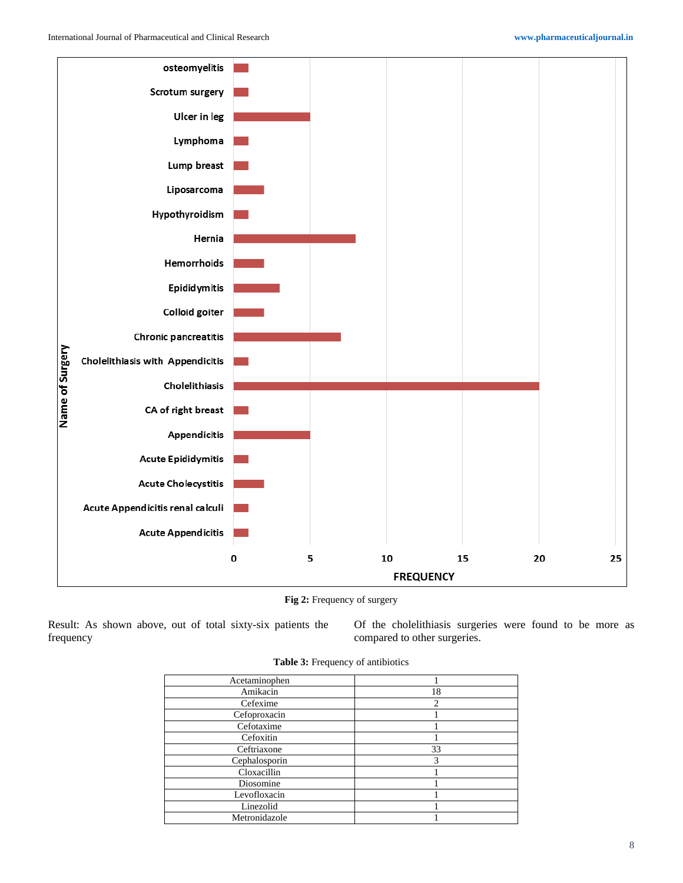

**Fig 2:** Frequency of surgery

Result: As shown above, out of total sixty-six patients the frequency

Of the cholelithiasis surgeries were found to be more as compared to other surgeries.

| Acetaminophen |                |
|---------------|----------------|
| Amikacin      | 18             |
| Cefexime      | $\overline{c}$ |
| Cefoproxacin  |                |
| Cefotaxime    |                |
| Cefoxitin     |                |
| Ceftriaxone   | 33             |
| Cephalosporin | 3              |
| Cloxacillin   |                |
| Diosomine     |                |
| Levofloxacin  |                |
| Linezolid     |                |
| Metronidazole |                |
|               |                |

|  | Table 3: Frequency of antibiotics |  |
|--|-----------------------------------|--|
|--|-----------------------------------|--|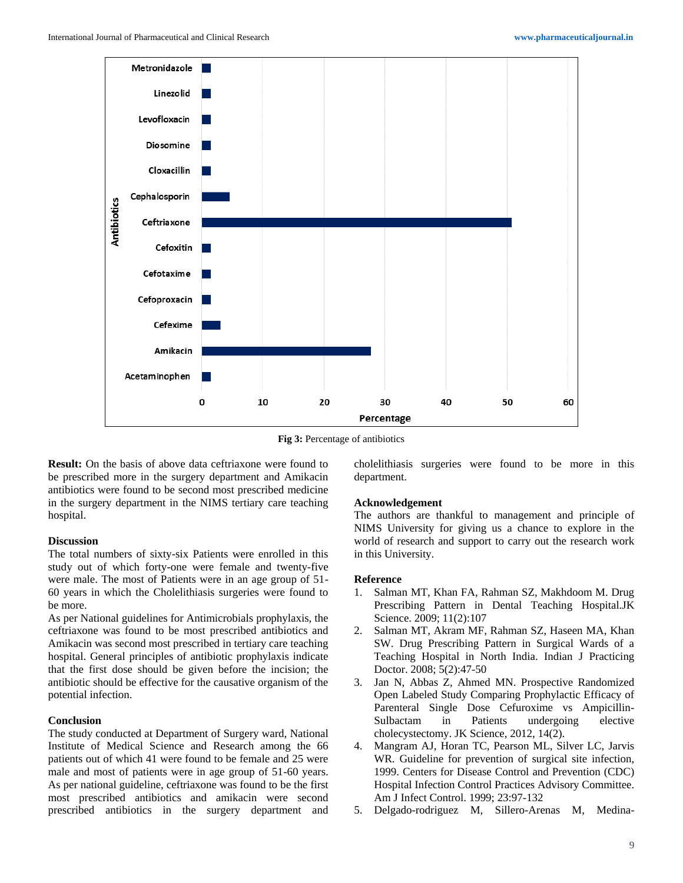

**Fig 3:** Percentage of antibiotics

**Result:** On the basis of above data ceftriaxone were found to be prescribed more in the surgery department and Amikacin antibiotics were found to be second most prescribed medicine in the surgery department in the NIMS tertiary care teaching hospital.

#### **Discussion**

The total numbers of sixty-six Patients were enrolled in this study out of which forty-one were female and twenty-five were male. The most of Patients were in an age group of 51- 60 years in which the Cholelithiasis surgeries were found to be more.

As per National guidelines for Antimicrobials prophylaxis, the ceftriaxone was found to be most prescribed antibiotics and Amikacin was second most prescribed in tertiary care teaching hospital. General principles of antibiotic prophylaxis indicate that the first dose should be given before the incision; the antibiotic should be effective for the causative organism of the potential infection.

#### **Conclusion**

The study conducted at Department of Surgery ward, National Institute of Medical Science and Research among the 66 patients out of which 41 were found to be female and 25 were male and most of patients were in age group of 51-60 years. As per national guideline, ceftriaxone was found to be the first most prescribed antibiotics and amikacin were second prescribed antibiotics in the surgery department and

cholelithiasis surgeries were found to be more in this department.

#### **Acknowledgement**

The authors are thankful to management and principle of NIMS University for giving us a chance to explore in the world of research and support to carry out the research work in this University.

## **Reference**

- 1. Salman MT, Khan FA, Rahman SZ, Makhdoom M. Drug Prescribing Pattern in Dental Teaching Hospital.JK Science. 2009; 11(2):107
- 2. Salman MT, Akram MF, Rahman SZ, Haseen MA, Khan SW. Drug Prescribing Pattern in Surgical Wards of a Teaching Hospital in North India. Indian J Practicing Doctor. 2008; 5(2):47-50
- 3. Jan N, Abbas Z, Ahmed MN. Prospective Randomized Open Labeled Study Comparing Prophylactic Efficacy of Parenteral Single Dose Cefuroxime vs Ampicillin-Sulbactam in Patients undergoing elective cholecystectomy. JK Science, 2012, 14(2).
- 4. Mangram AJ, Horan TC, Pearson ML, Silver LC, Jarvis WR. Guideline for prevention of surgical site infection, 1999. Centers for Disease Control and Prevention (CDC) Hospital Infection Control Practices Advisory Committee. Am J Infect Control. 1999; 23:97-132
- 5. Delgado-rodriguez M, Sillero-Arenas M, Medina-